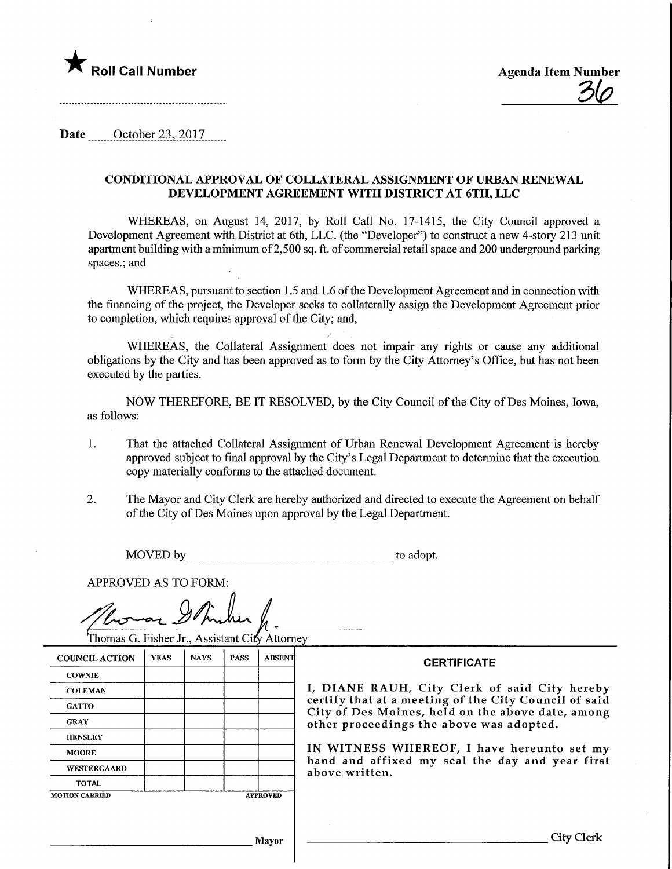

Date ........October 23,2017,

#### CONDITIONAL APPROVAL OF COLLATERAL ASSIGNMENT OF URBAN RENEWAL DEVELOPMENT AGREEMENT WITH DISTRICT AT 6TH, LLC

WHEREAS, on August 14, 2017, by Roll Call No. 17-1415, the City Council approved a Development Agreement with District at 6th, LLC. (the "Developer") to construct a new 4-story 213 unit apartment building with a minimum of 2,500 sq. ft. of commercial retail space and 200 underground parking spaces.; and

WHEREAS, pursuant to section 1.5 and 1.6 of the Development Agreement and in connection with the financing of the project, the Developer seeks to collaterally assign the Development Agreement prior to completion, which requires approval of the City; and,

WHEREAS, the Collateral Assignment does not impair any rights or cause any additional obligations by the City and has been approved as to form by the City Attorney's Office, but has not been executed by the parties.

NOW THEREFORE, BE IT RESOLVED, by the City Council of the City of Des Moines, Iowa, as follows:

- 1. That the attached Collateral Assignment of Urban Renewal Development Agreement is hereby approved subject to final approval by the City's Legal Department to determine that the execution copy materially conforms to the attached document.
- 2. The Mayor and City Clerk are hereby authorized and directed to execute the Agreement on behalf of the City of Des Moines upon approval by the Legal Department.

MOVED by to adopt.

APPROVED AS TO FORM:

^^JL

homas G. Fisher Jr., Assistant City Attorney

| <b>COUNCIL ACTION</b> | <b>YEAS</b> | <b>NAYS</b> | <b>PASS</b> | <b>ABSENT</b>   | <b>CERTIFICATE</b>                                                                                                                                                                                                                                                                                                         |  |  |
|-----------------------|-------------|-------------|-------------|-----------------|----------------------------------------------------------------------------------------------------------------------------------------------------------------------------------------------------------------------------------------------------------------------------------------------------------------------------|--|--|
| <b>COWNIE</b>         |             |             |             |                 |                                                                                                                                                                                                                                                                                                                            |  |  |
| <b>COLEMAN</b>        |             |             |             |                 | I, DIANE RAUH, City Clerk of said City hereby<br>certify that at a meeting of the City Council of said<br>City of Des Moines, held on the above date, among<br>other proceedings the above was adopted.<br>IN WITNESS WHEREOF, I have hereunto set my<br>hand and affixed my seal the day and year first<br>above written. |  |  |
| <b>GATTO</b>          |             |             |             |                 |                                                                                                                                                                                                                                                                                                                            |  |  |
| <b>GRAY</b>           |             |             |             |                 |                                                                                                                                                                                                                                                                                                                            |  |  |
| <b>HENSLEY</b>        |             |             |             |                 |                                                                                                                                                                                                                                                                                                                            |  |  |
| <b>MOORE</b>          |             |             |             |                 |                                                                                                                                                                                                                                                                                                                            |  |  |
| WESTERGAARD           |             |             |             |                 |                                                                                                                                                                                                                                                                                                                            |  |  |
| <b>TOTAL</b>          |             |             |             |                 |                                                                                                                                                                                                                                                                                                                            |  |  |
| <b>MOTION CARRIED</b> |             |             |             | <b>APPROVED</b> |                                                                                                                                                                                                                                                                                                                            |  |  |
|                       |             |             |             |                 |                                                                                                                                                                                                                                                                                                                            |  |  |
|                       |             |             |             | Mayor           | <b>City Clerk</b>                                                                                                                                                                                                                                                                                                          |  |  |
|                       |             |             |             |                 |                                                                                                                                                                                                                                                                                                                            |  |  |

Mayor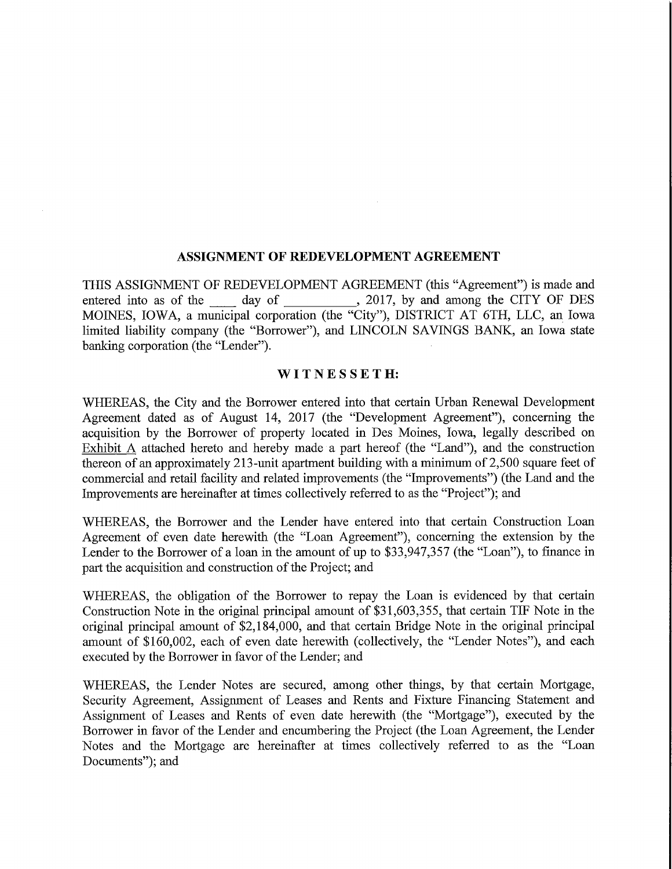#### ASSIGNMENT OF REDEVELOPMENT AGREEMENT

THIS ASSIGNMENT OF REDEVELOPMENT AGREEMENT (this "Agreement") is made and entered into as of the day of , 2017, by and among the CITY OF DES MOINES, IOWA, a municipal corporation (the "City"), DISTRICT AT 6TH, LLC, an Iowa limited liability company (the "Borrower"), and LINCOLN SAVINGS BANK, an Iowa state banking corporation (the "Lender").

#### WITNESSETH:

WHEREAS, the City and the Borrower entered into that certain Urban Renewal Development Agreement dated as of August 14, 2017 (the "Development Agreement"), concerning the acquisition by the Borrower of property located in Des Moines, Iowa, legally described on Exhibit A attached hereto and hereby made a part hereof (the "Land"), and the construction thereon of an approximately 213-unit apartment building with a minimum of 2,500 square feet of commercial and retail facility and related improvements (the "Improvements") (the Land and the Improvements are hereinafter at times collectively referred to as the "Project"); and

WHEREAS, the Borrower and the Lender have entered into that certain Construction Loan Agreement of even date herewith (the "Loan Agreement"), concerning the extension by the Lender to the Borrower of a loan in the amount of up to \$33,947,357 (the "Loan"), to finance in part the acquisition and construction of the Project; and

WHEREAS, the obligation of the Borrower to repay the Loan is evidenced by that certain Construction Note in the original principal amount of \$31,603,355, that certain TIP Note in the original principal amount of \$2,184,000, and that certain Bridge Note in the original principal amount of \$160,002, each of even date herewith (collectively, the "Lender Notes"), and each executed by the Borrower in favor of the Lender; and

WHEREAS, the Lender Notes are secured, among other things, by that certain Mortgage, Security Agreement, Assignment of Leases and Rents and Fixture Financing Statement and Assignment of Leases and Rents of even date herewith (the "Mortgage"), executed by the Borrower in favor of the Lender and encumbering the Project (the Loan Agreement, the Lender Notes and the Mortgage are hereinafter at times collectively referred to as the "Loan Documents"); and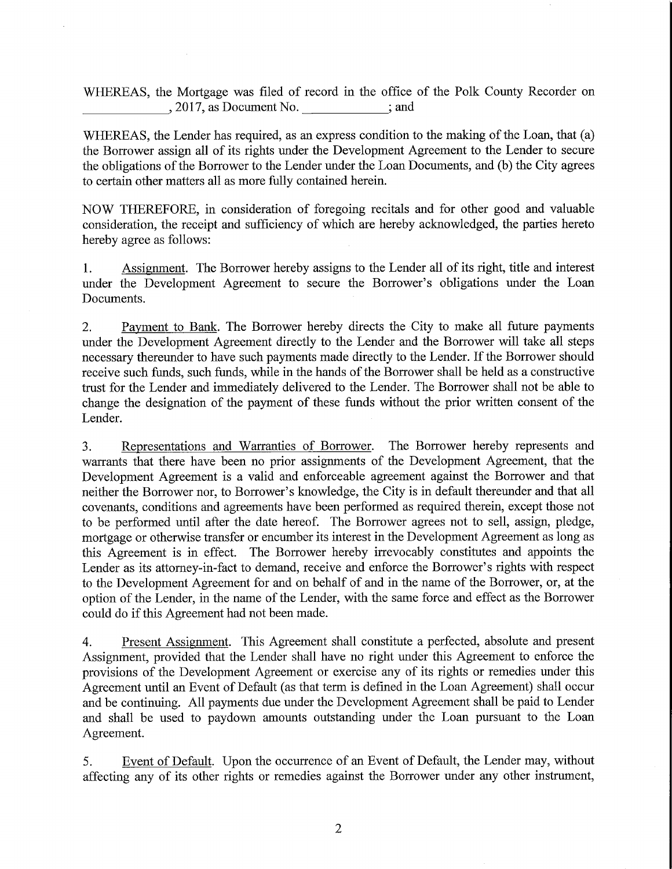WHEREAS, the Mortgage was filed of record in the office of the Polk County Recorder on , 2017, as Document No.  $;$  and

WHEREAS, the Lender has required, as an express condition to the making of the Loan, that (a) the Borrower assign all of its rights under the Development Agreement to the Lender to secure the obligations of the Borrower to the Lender under the Loan Documents, and (b) the City agrees to certain other matters all as more fully contained herein.

NOW THEREFORE, in consideration of foregoing recitals and for other good and valuable consideration, the receipt and sufficiency of which are hereby acknowledged, the parties hereto hereby agree as follows:

1. Assignment. The Borrower hereby assigns to the Lender all of its right, title and interest under the Development Agreement to secure the Borrower's obligations under the Loan Documents.

2. Payment to Bank. The Borrower hereby directs the City to make all future payments under the Development Agreement directly to the Lender and the Borrower will take all steps necessary thereunder to have such payments made directly to the Lender. If the Borrower should receive such funds, such funds, while in the hands of the Borrower shall be held as a constructive trust for the Lender and immediately delivered to the Lender. The Borrower shall not be able to change the designation of the payment of these funds without the prior written consent of the Lender.

3. Representations and Warranties of Borrower. The Borrower hereby represents and warrants that there have been no prior assignments of the Development Agreement, that the Development Agreement is a valid and enforceable agreement against the Borrower and that neither the Borrower nor, to Borrower's knowledge, the City is in default thereunder and that all covenants, conditions and agreements have been performed as required therein, except those not to be performed until after the date hereof. The Borrower agrees not to sell, assign, pledge, mortgage or otherwise transfer or encumber its interest in the Development Agreement as long as this Agreement is in effect. The Borrower hereby irrevocably constitutes and appoints the Lender as its attomey-in-fact to demand, receive and enforce the Borrower's rights with respect to the Development Agreement for and on behalf of and in the name of the Borrower, or, at the option of the Lender, in the name of the Lender, with the same force and effect as the Borrower could do if this Agreement had not been made.

4. Present Assignment. This Agreement shall constitute a perfected, absolute and present Assignment, provided that the Lender shall have no right under this Agreement to enforce the provisions of the Development Agreement or exercise any of its rights or remedies under this Agreement until an Event of Default (as that term is defined in the Loan Agreement) shall occur and be continuing. All payments due under the Development Agreement shall be paid to Lender and shall be used to paydown amounts outstanding under the Loan pursuant to the Loan Agreement.

5. Event of Default. Upon the occurrence of an Event of Default, the Lender may, without affecting any of its other rights or remedies against the Borrower under any other instrument,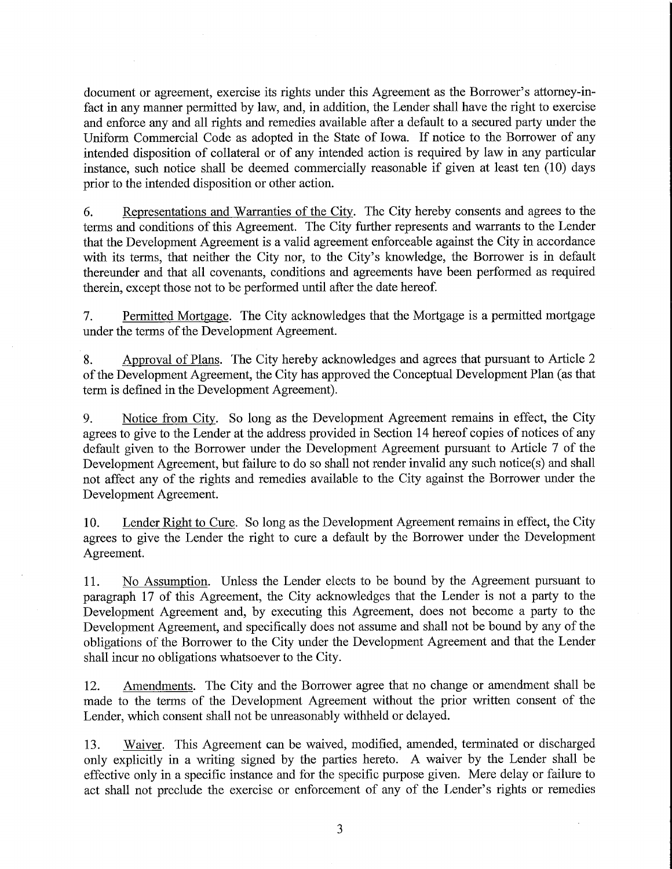document or agreement, exercise its rights under this Agreement as the Borrower's attomey-infact in any manner permitted by law, and, in addition, the Lender shall have the right to exercise and enforce any and all rights and remedies available after a default to a secured party under the Uniform Commercial Code as adopted in the State of Iowa. If notice to the Borrower of any intended disposition of collateral or of any intended action is required by law in any particular instance, such notice shall be deemed commercially reasonable if given at least ten  $(10)$  days prior to the intended disposition or other action.

6. Representations and Warranties of the City. The City hereby consents and agrees to the terms and conditions of this Agreement. The City further represents and warrants to the Lender that the Development Agreement is a valid agreement enforceable against the City in accordance with its terms, that neither the City nor, to the City's knowledge, the Borrower is in default thereunder and that all covenants, conditions and agreements have been performed as required therein, except those not to be performed until after the date hereof.

7. Permitted Mortgage. The City acknowledges that the Mortgage is a permitted mortgage under the terms of the Development Agreement.

8. Approval of Plans. The City hereby acknowledges and agrees that pursuant to Article 2 of the Development Agreement, the City has approved the Conceptual Development Plan (as that term is defined in the Development Agreement).

9. Notice from City. So long as the Development Agreement remains in effect, the City agrees to give to the Lender at the address provided in Section 14 hereof copies of notices of any default given to the Borrower under the Development Agreement pursuant to Article 7 of the Development Agreement, but failure to do so shall not render invalid any such notice(s) and shall not affect any of the rights and remedies available to the City against the Borrower under the Development Agreement.

10. Lender Right to Cure. So long as the Development Agreement remains in effect, the City agrees to give the Lender the right to cure a default by the Borrower under the Development Agreement.

11. No Assumption. Unless the Lender elects to be bound by the Agreement pursuant to paragraph 17 of this Agreement, the City acknowledges that the Lender is not a party to the Development Agreement and, by executing this Agreement, does not become a party to the Development Agreement, and specifically does not assume and shall not be bound by any of the obligations of the Borrower to the City under the Development Agreement and that the Lender shall incur no obligations whatsoever to the City.

12. Amendments. The City and the Borrower agree that no change or amendment shall be made to the terms of the Development Agreement without the prior written consent of the Lender, which consent shall not be unreasonably withheld or delayed.

13. Waiver. This Agreement can be waived, modified, amended, terminated or discharged only explicitly in a writing signed by the parties hereto. A waiver by the Lender shall be effective only in a specific instance and for the specific purpose given. Mere delay or failure to act shall not preclude the exercise or enforcement of any of the Lender's rights or remedies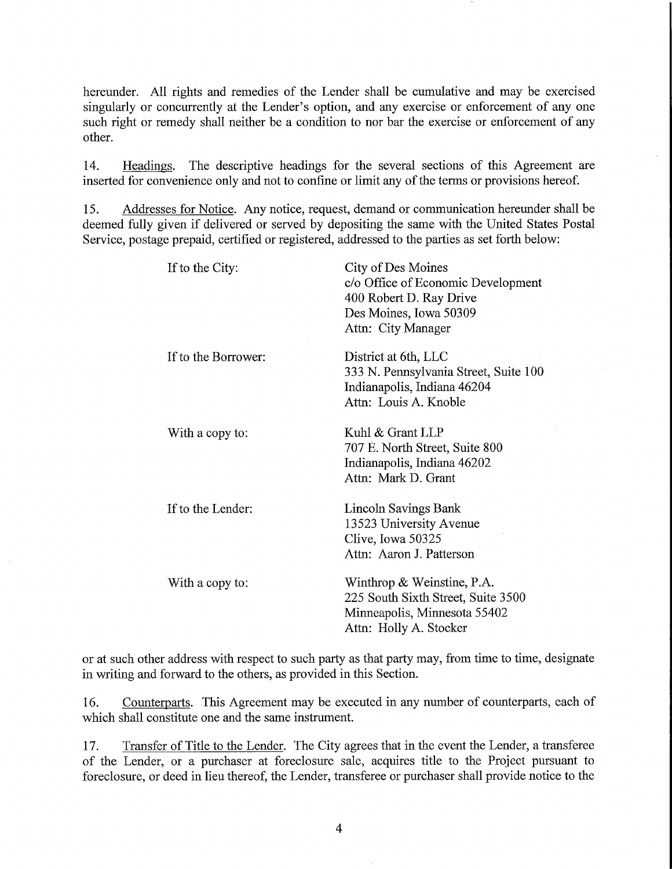hereunder. All rights and remedies of the Lender shall be cumulative and may be exercised singularly or concurrently at the Lender's option, and any exercise or enforcement of any one such right or remedy shall neither be a condition to nor bar the exercise or enforcement of any other.

14. Headings. The descriptive headings for the several sections of this Agreement are inserted for convenience only and not to confine or limit any of the terms or provisions hereof.

15. Addresses for Notice. Any notice, request, demand or communication hereunder shall be deemed fully given if delivered or served by depositing the same with the United States Postal Service, postage prepaid, certified or registered, addressed to the parties as set forth below:

| If to the City:     | City of Des Moines<br>c/o Office of Economic Development<br>400 Robert D. Ray Drive<br>Des Moines, Iowa 50309<br>Attn: City Manager |
|---------------------|-------------------------------------------------------------------------------------------------------------------------------------|
| If to the Borrower: | District at 6th, LLC<br>333 N. Pennsylvania Street, Suite 100<br>Indianapolis, Indiana 46204<br>Attn: Louis A. Knoble               |
| With a copy to:     | Kuhl & Grant LLP<br>707 E. North Street, Suite 800<br>Indianapolis, Indiana 46202<br>Attn: Mark D. Grant                            |
| If to the Lender:   | Lincoln Savings Bank<br>13523 University Avenue<br>Clive, Iowa 50325<br>Attn: Aaron J. Patterson                                    |
| With a copy to:     | Winthrop & Weinstine, P.A.<br>225 South Sixth Street, Suite 3500<br>Minneapolis, Minnesota 55402<br>Attn: Holly A. Stocker          |

or at such other address with respect to such party as that party may, from time to time, designate in writing and forward to the others, as provided in this Section.

16. Counterparts. This Agreement may be executed in any number of counterparts, each of which shall constitute one and the same instrument.

17. Transfer of Title to the Leader. The City agrees that in the event the Lender, a transferee of the Lender, or a purchaser at foreclosure sale, acquires title to the Project pursuant to foreclosure, or deed in lieu thereof, the Lender, transferee or purchaser shall provide notice to the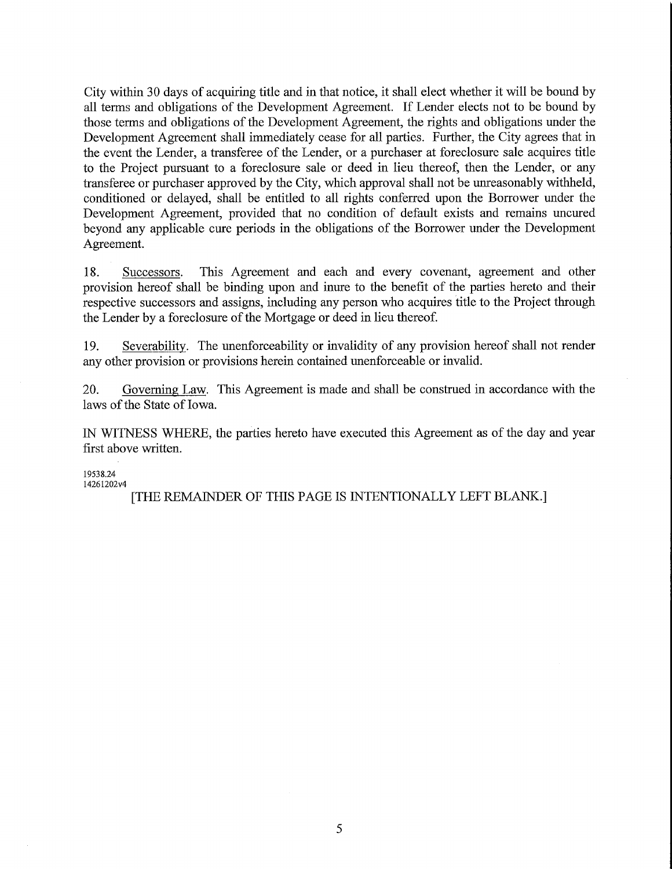City within 30 days of acquiring title and in that notice, it shall elect whether it will be bound by all terms and obligations of the Development Agreement. If Lender elects not to be bound by those terms and obligations of the Development Agreement, the rights and obligations under the Development Agreement shall immediately cease for all parties. Further, the City agrees that in the event the Lender, a transferee of the Lender, or a purchaser at foreclosure sale acquires title to the Project pursuant to a foreclosure sale or deed in lieu thereof, then the Lender, or any transferee or purchaser approved by the City, which approval shall not be unreasonably withheld, conditioned or delayed, shall be entitled to all rights conferred upon the Borrower under the Development Agreement, provided that no condition of default exists and remains uncured beyond any applicable cure periods in the obligations of the Borrower under the Development Agreement.

18. Successors. This Agreement and each and every covenant, agreement and other provision hereof shall be binding upon and inure to the benefit of the parties hereto and their respective successors and assigns, including any person who acquires title to the Project through the Lender by a foreclosure of the Mortgage or deed in lieu thereof.

19. Severability. The unenforceability or invalidity of any provision hereof shall not render any other provision or provisions herein contained unenforceable or invalid.

20. Governing Law. This Agreement is made and shall be construed in accordance with the laws of the State of Iowa.

IN WITNESS WHERE, the parties hereto have executed this Agreement as of the day and year first above written.

#### 19538.24 14261202v4

[THE REMAINDER OF THIS PAGE IS INTENTIONALLY LEFT BLANK.]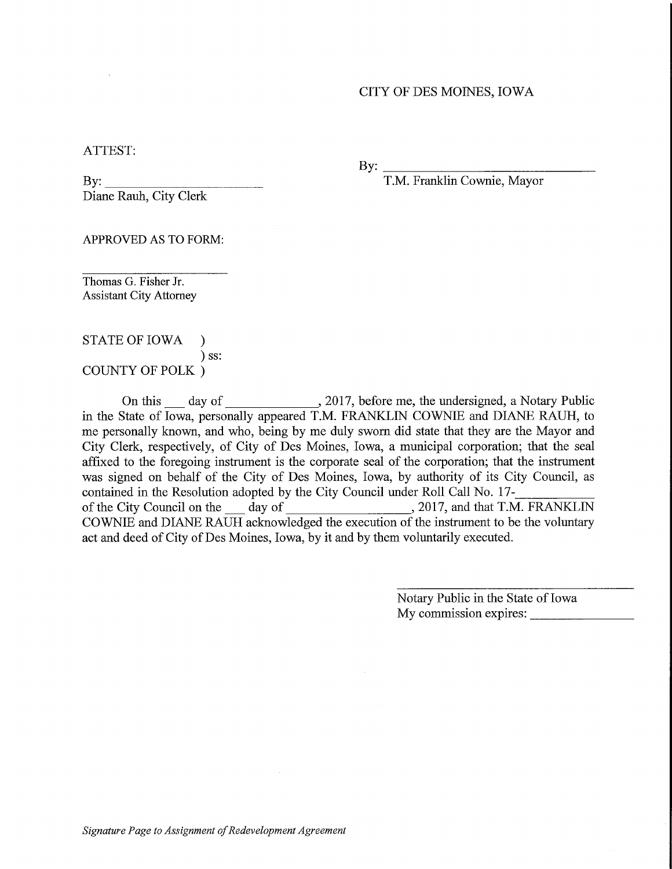### CITY OF DES MOINES, IOWA

ATTEST:

By: T.M. Franklin Cownie, Mayor Diane Rauh, City Clerk

By:

APPROVED AS TO FORM:

Thomas G. Fisher Jr. Assistant City Attorney

## STATE OF IOWA ) ) ss: COUNTY OF POLK )

On this day of 2017, before me, the undersigned, a Notary Public in the State of Iowa, personally appeared T.M. FRANKLIN COWNIE and DIANE RAUH, to me personally known, and who, being by me duly sworn did state that they are the Mayor and City Clerk, respectively, of City of Des Moines, Iowa, a municipal corporation; that the seal affixed to the foregoing instrument is the corporate seal of the corporation; that the instrument was signed on behalf of the City of Des Moines, Iowa, by authority of its City Council, as contained in the Resolution adopted by the City Council under Roll Call No. 17 of the City Council on the day of the City Council on the day of the City Council on the day of the ANKLIN COWNIE and DIANE RAUH acknowledged the execution of the instrument to be the voluntary act and deed of City of Des Moines, Iowa, by it and by them voluntarily executed.

> Notary Public in the State of Iowa My commission expires: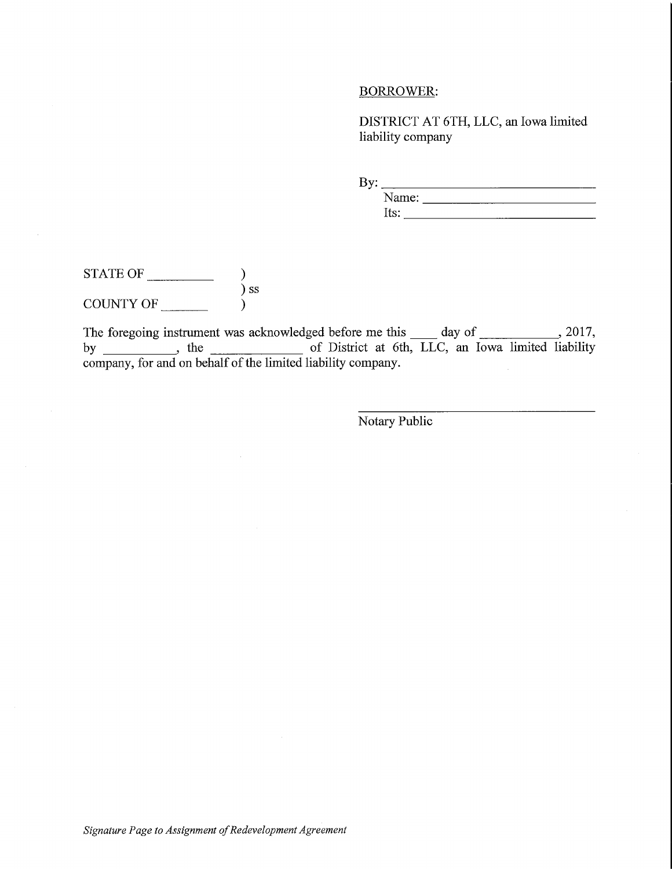#### BORROWER:

DISTRICT AT 6TH, LLC, an Iowa limited liability company

By:. Name: Its: <u>with the company of the company of the company of the company of the company of the company of the company of the company of the company of the company of the company of the company of the company of the company of t</u>

# $\begin{tabular}{c} \bf STATE OF \end{tabular}$ ) ss COUNTY OF  $\overrightarrow{)}$

The foregoing instrument was acknowledged before me this day of , 2017, by \_\_\_\_\_\_\_, the \_\_\_\_\_\_\_\_ of District at 6th, LLC, an Iowa limited liability company, for and on behalf of the limited liability company.

Notary Public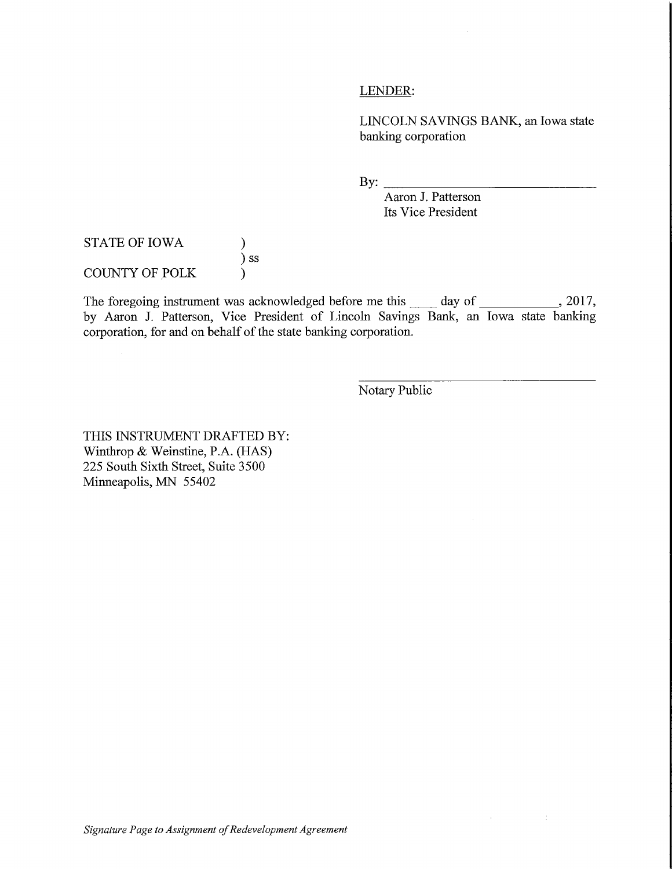### LENDER:

LINCOLN SAVINGS BANK, an Iowa state banking corporation

 $\sim$ 

By:  $\qquad \qquad$ 

Aaron J. Patterson Its Vice President

# STATE OF IOWA (1) ) ss COUNTY OF POLK  $\overline{)}$

The foregoing instrument was acknowledged before me this  $\frac{1}{\sqrt{2}}$  day of  $\frac{1}{\sqrt{2}}$ , 2017, by Aaron J. Patterson, Vice President of Lincoln Savings Bank, an Iowa state banking corporation, for and on behalf of the state banking corporation.

Notary Public

THIS INSTRUMENT DRAFTED BY: Winthrop & Weinstine, P.A. (HAS) 225 South Sixth Street, Suite 3500 Minneapolis, MN 55402